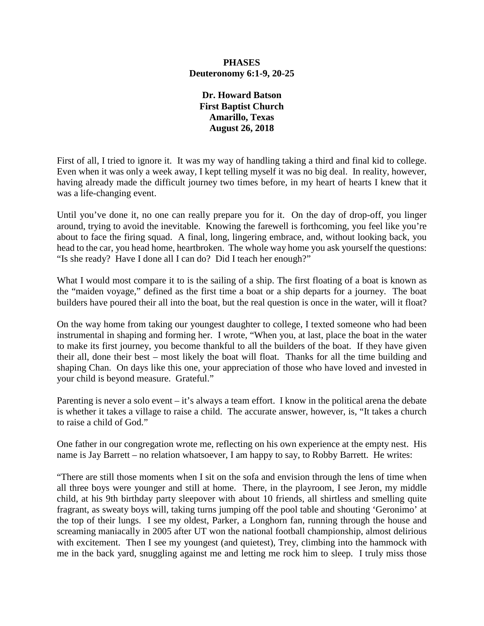## **PHASES Deuteronomy 6:1-9, 20-25**

**Dr. Howard Batson First Baptist Church Amarillo, Texas August 26, 2018**

First of all, I tried to ignore it. It was my way of handling taking a third and final kid to college. Even when it was only a week away, I kept telling myself it was no big deal. In reality, however, having already made the difficult journey two times before, in my heart of hearts I knew that it was a life-changing event.

Until you've done it, no one can really prepare you for it. On the day of drop-off, you linger around, trying to avoid the inevitable. Knowing the farewell is forthcoming, you feel like you're about to face the firing squad. A final, long, lingering embrace, and, without looking back, you head to the car, you head home, heartbroken. The whole way home you ask yourself the questions: "Is she ready? Have I done all I can do? Did I teach her enough?"

What I would most compare it to is the sailing of a ship. The first floating of a boat is known as the "maiden voyage," defined as the first time a boat or a ship departs for a journey. The boat builders have poured their all into the boat, but the real question is once in the water, will it float?

On the way home from taking our youngest daughter to college, I texted someone who had been instrumental in shaping and forming her. I wrote, "When you, at last, place the boat in the water to make its first journey, you become thankful to all the builders of the boat. If they have given their all, done their best – most likely the boat will float. Thanks for all the time building and shaping Chan. On days like this one, your appreciation of those who have loved and invested in your child is beyond measure. Grateful."

Parenting is never a solo event – it's always a team effort. I know in the political arena the debate is whether it takes a village to raise a child. The accurate answer, however, is, "It takes a church to raise a child of God."

One father in our congregation wrote me, reflecting on his own experience at the empty nest. His name is Jay Barrett – no relation whatsoever, I am happy to say, to Robby Barrett. He writes:

"There are still those moments when I sit on the sofa and envision through the lens of time when all three boys were younger and still at home. There, in the playroom, I see Jeron, my middle child, at his 9th birthday party sleepover with about 10 friends, all shirtless and smelling quite fragrant, as sweaty boys will, taking turns jumping off the pool table and shouting 'Geronimo' at the top of their lungs. I see my oldest, Parker, a Longhorn fan, running through the house and screaming maniacally in 2005 after UT won the national football championship, almost delirious with excitement. Then I see my youngest (and quietest), Trey, climbing into the hammock with me in the back yard, snuggling against me and letting me rock him to sleep. I truly miss those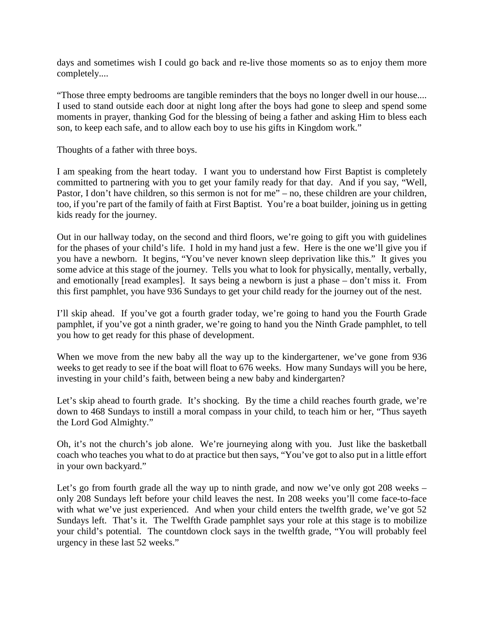days and sometimes wish I could go back and re-live those moments so as to enjoy them more completely....

"Those three empty bedrooms are tangible reminders that the boys no longer dwell in our house.... I used to stand outside each door at night long after the boys had gone to sleep and spend some moments in prayer, thanking God for the blessing of being a father and asking Him to bless each son, to keep each safe, and to allow each boy to use his gifts in Kingdom work."

Thoughts of a father with three boys.

I am speaking from the heart today. I want you to understand how First Baptist is completely committed to partnering with you to get your family ready for that day. And if you say, "Well, Pastor, I don't have children, so this sermon is not for me" – no, these children are your children, too, if you're part of the family of faith at First Baptist. You're a boat builder, joining us in getting kids ready for the journey.

Out in our hallway today, on the second and third floors, we're going to gift you with guidelines for the phases of your child's life. I hold in my hand just a few. Here is the one we'll give you if you have a newborn. It begins, "You've never known sleep deprivation like this." It gives you some advice at this stage of the journey. Tells you what to look for physically, mentally, verbally, and emotionally [read examples]. It says being a newborn is just a phase – don't miss it. From this first pamphlet, you have 936 Sundays to get your child ready for the journey out of the nest.

I'll skip ahead. If you've got a fourth grader today, we're going to hand you the Fourth Grade pamphlet, if you've got a ninth grader, we're going to hand you the Ninth Grade pamphlet, to tell you how to get ready for this phase of development.

When we move from the new baby all the way up to the kindergartener, we've gone from 936 weeks to get ready to see if the boat will float to 676 weeks. How many Sundays will you be here, investing in your child's faith, between being a new baby and kindergarten?

Let's skip ahead to fourth grade. It's shocking. By the time a child reaches fourth grade, we're down to 468 Sundays to instill a moral compass in your child, to teach him or her, "Thus sayeth the Lord God Almighty."

Oh, it's not the church's job alone. We're journeying along with you. Just like the basketball coach who teaches you what to do at practice but then says, "You've got to also put in a little effort in your own backyard."

Let's go from fourth grade all the way up to ninth grade, and now we've only got 208 weeks – only 208 Sundays left before your child leaves the nest. In 208 weeks you'll come face-to-face with what we've just experienced. And when your child enters the twelfth grade, we've got 52 Sundays left. That's it. The Twelfth Grade pamphlet says your role at this stage is to mobilize your child's potential. The countdown clock says in the twelfth grade, "You will probably feel urgency in these last 52 weeks."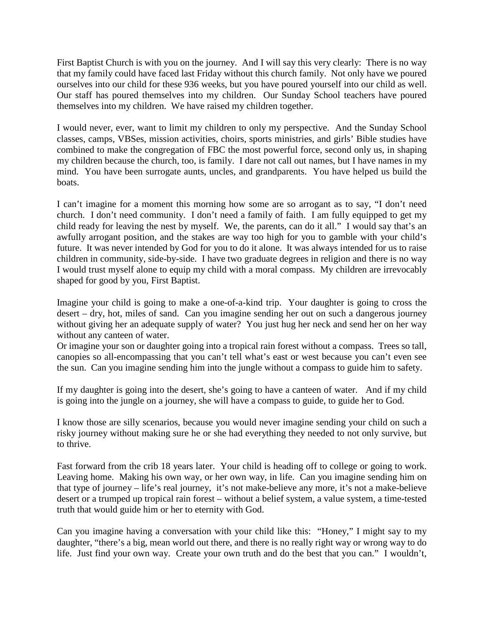First Baptist Church is with you on the journey. And I will say this very clearly: There is no way that my family could have faced last Friday without this church family. Not only have we poured ourselves into our child for these 936 weeks, but you have poured yourself into our child as well. Our staff has poured themselves into my children. Our Sunday School teachers have poured themselves into my children. We have raised my children together.

I would never, ever, want to limit my children to only my perspective. And the Sunday School classes, camps, VBSes, mission activities, choirs, sports ministries, and girls' Bible studies have combined to make the congregation of FBC the most powerful force, second only us, in shaping my children because the church, too, is family. I dare not call out names, but I have names in my mind. You have been surrogate aunts, uncles, and grandparents. You have helped us build the boats.

I can't imagine for a moment this morning how some are so arrogant as to say, "I don't need church. I don't need community. I don't need a family of faith. I am fully equipped to get my child ready for leaving the nest by myself. We, the parents, can do it all." I would say that's an awfully arrogant position, and the stakes are way too high for you to gamble with your child's future. It was never intended by God for you to do it alone. It was always intended for us to raise children in community, side-by-side. I have two graduate degrees in religion and there is no way I would trust myself alone to equip my child with a moral compass. My children are irrevocably shaped for good by you, First Baptist.

Imagine your child is going to make a one-of-a-kind trip. Your daughter is going to cross the desert – dry, hot, miles of sand. Can you imagine sending her out on such a dangerous journey without giving her an adequate supply of water? You just hug her neck and send her on her way without any canteen of water.

Or imagine your son or daughter going into a tropical rain forest without a compass. Trees so tall, canopies so all-encompassing that you can't tell what's east or west because you can't even see the sun. Can you imagine sending him into the jungle without a compass to guide him to safety.

If my daughter is going into the desert, she's going to have a canteen of water. And if my child is going into the jungle on a journey, she will have a compass to guide, to guide her to God.

I know those are silly scenarios, because you would never imagine sending your child on such a risky journey without making sure he or she had everything they needed to not only survive, but to thrive.

Fast forward from the crib 18 years later. Your child is heading off to college or going to work. Leaving home. Making his own way, or her own way, in life. Can you imagine sending him on that type of journey – life's real journey, it's not make-believe any more, it's not a make-believe desert or a trumped up tropical rain forest – without a belief system, a value system, a time-tested truth that would guide him or her to eternity with God.

Can you imagine having a conversation with your child like this: "Honey," I might say to my daughter, "there's a big, mean world out there, and there is no really right way or wrong way to do life. Just find your own way. Create your own truth and do the best that you can." I wouldn't,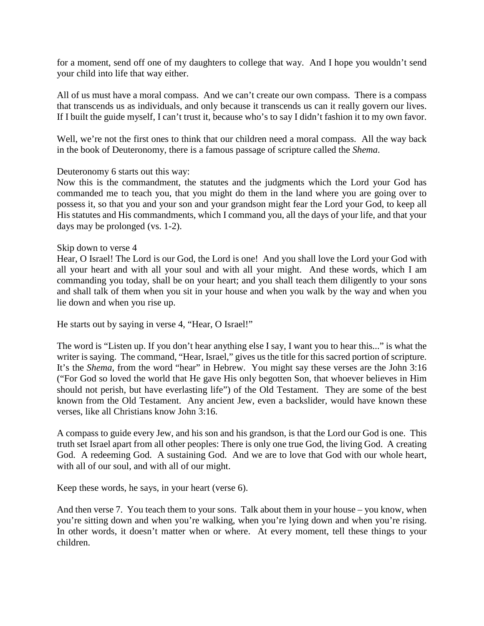for a moment, send off one of my daughters to college that way. And I hope you wouldn't send your child into life that way either.

All of us must have a moral compass. And we can't create our own compass. There is a compass that transcends us as individuals, and only because it transcends us can it really govern our lives. If I built the guide myself, I can't trust it, because who's to say I didn't fashion it to my own favor.

Well, we're not the first ones to think that our children need a moral compass. All the way back in the book of Deuteronomy, there is a famous passage of scripture called the *Shema*.

## Deuteronomy 6 starts out this way:

Now this is the commandment, the statutes and the judgments which the Lord your God has commanded me to teach you, that you might do them in the land where you are going over to possess it, so that you and your son and your grandson might fear the Lord your God, to keep all His statutes and His commandments, which I command you, all the days of your life, and that your days may be prolonged (vs. 1-2).

## Skip down to verse 4

Hear, O Israel! The Lord is our God, the Lord is one! And you shall love the Lord your God with all your heart and with all your soul and with all your might. And these words, which I am commanding you today, shall be on your heart; and you shall teach them diligently to your sons and shall talk of them when you sit in your house and when you walk by the way and when you lie down and when you rise up.

He starts out by saying in verse 4, "Hear, O Israel!"

The word is "Listen up. If you don't hear anything else I say, I want you to hear this..." is what the writer is saying. The command, "Hear, Israel," gives us the title for this sacred portion of scripture. It's the *Shema*, from the word "hear" in Hebrew. You might say these verses are the John 3:16 ("For God so loved the world that He gave His only begotten Son, that whoever believes in Him should not perish, but have everlasting life") of the Old Testament. They are some of the best known from the Old Testament. Any ancient Jew, even a backslider, would have known these verses, like all Christians know John 3:16.

A compass to guide every Jew, and his son and his grandson, is that the Lord our God is one. This truth set Israel apart from all other peoples: There is only one true God, the living God. A creating God. A redeeming God. A sustaining God. And we are to love that God with our whole heart, with all of our soul, and with all of our might.

Keep these words, he says, in your heart (verse 6).

And then verse 7. You teach them to your sons. Talk about them in your house – you know, when you're sitting down and when you're walking, when you're lying down and when you're rising. In other words, it doesn't matter when or where. At every moment, tell these things to your children.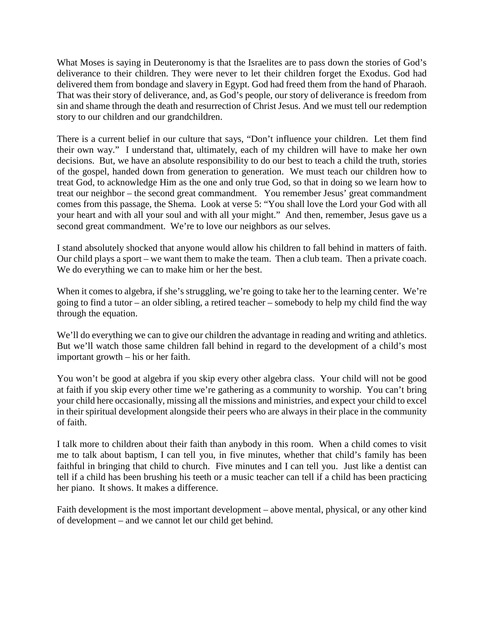What Moses is saying in Deuteronomy is that the Israelites are to pass down the stories of God's deliverance to their children. They were never to let their children forget the Exodus. God had delivered them from bondage and slavery in Egypt. God had freed them from the hand of Pharaoh. That was their story of deliverance, and, as God's people, our story of deliverance is freedom from sin and shame through the death and resurrection of Christ Jesus. And we must tell our redemption story to our children and our grandchildren.

There is a current belief in our culture that says, "Don't influence your children. Let them find their own way." I understand that, ultimately, each of my children will have to make her own decisions. But, we have an absolute responsibility to do our best to teach a child the truth, stories of the gospel, handed down from generation to generation. We must teach our children how to treat God, to acknowledge Him as the one and only true God, so that in doing so we learn how to treat our neighbor – the second great commandment. You remember Jesus' great commandment comes from this passage, the Shema. Look at verse 5: "You shall love the Lord your God with all your heart and with all your soul and with all your might." And then, remember, Jesus gave us a second great commandment. We're to love our neighbors as our selves.

I stand absolutely shocked that anyone would allow his children to fall behind in matters of faith. Our child plays a sport – we want them to make the team. Then a club team. Then a private coach. We do everything we can to make him or her the best.

When it comes to algebra, if she's struggling, we're going to take her to the learning center. We're going to find a tutor – an older sibling, a retired teacher – somebody to help my child find the way through the equation.

We'll do everything we can to give our children the advantage in reading and writing and athletics. But we'll watch those same children fall behind in regard to the development of a child's most important growth – his or her faith.

You won't be good at algebra if you skip every other algebra class. Your child will not be good at faith if you skip every other time we're gathering as a community to worship. You can't bring your child here occasionally, missing all the missions and ministries, and expect your child to excel in their spiritual development alongside their peers who are always in their place in the community of faith.

I talk more to children about their faith than anybody in this room. When a child comes to visit me to talk about baptism, I can tell you, in five minutes, whether that child's family has been faithful in bringing that child to church. Five minutes and I can tell you. Just like a dentist can tell if a child has been brushing his teeth or a music teacher can tell if a child has been practicing her piano. It shows. It makes a difference.

Faith development is the most important development – above mental, physical, or any other kind of development – and we cannot let our child get behind.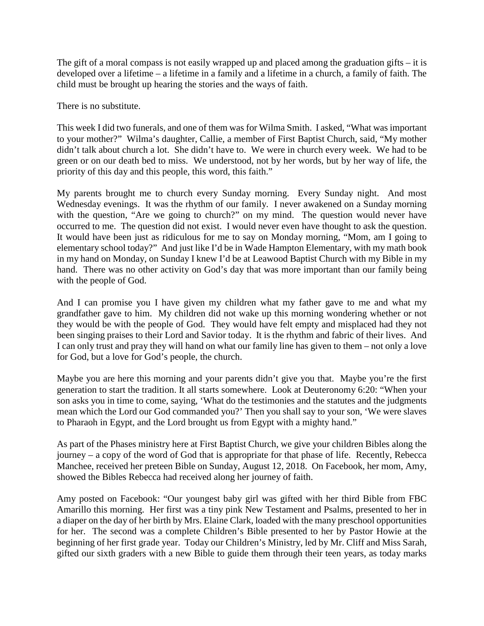The gift of a moral compass is not easily wrapped up and placed among the graduation gifts – it is developed over a lifetime – a lifetime in a family and a lifetime in a church, a family of faith. The child must be brought up hearing the stories and the ways of faith.

There is no substitute.

This week I did two funerals, and one of them was for Wilma Smith. I asked, "What was important to your mother?" Wilma's daughter, Callie, a member of First Baptist Church, said, "My mother didn't talk about church a lot. She didn't have to. We were in church every week. We had to be green or on our death bed to miss. We understood, not by her words, but by her way of life, the priority of this day and this people, this word, this faith."

My parents brought me to church every Sunday morning. Every Sunday night. And most Wednesday evenings. It was the rhythm of our family. I never awakened on a Sunday morning with the question, "Are we going to church?" on my mind. The question would never have occurred to me. The question did not exist. I would never even have thought to ask the question. It would have been just as ridiculous for me to say on Monday morning, "Mom, am I going to elementary school today?" And just like I'd be in Wade Hampton Elementary, with my math book in my hand on Monday, on Sunday I knew I'd be at Leawood Baptist Church with my Bible in my hand. There was no other activity on God's day that was more important than our family being with the people of God.

And I can promise you I have given my children what my father gave to me and what my grandfather gave to him. My children did not wake up this morning wondering whether or not they would be with the people of God. They would have felt empty and misplaced had they not been singing praises to their Lord and Savior today. It is the rhythm and fabric of their lives. And I can only trust and pray they will hand on what our family line has given to them – not only a love for God, but a love for God's people, the church.

Maybe you are here this morning and your parents didn't give you that. Maybe you're the first generation to start the tradition. It all starts somewhere. Look at Deuteronomy 6:20: "When your son asks you in time to come, saying, 'What do the testimonies and the statutes and the judgments mean which the Lord our God commanded you?' Then you shall say to your son, 'We were slaves to Pharaoh in Egypt, and the Lord brought us from Egypt with a mighty hand."

As part of the Phases ministry here at First Baptist Church, we give your children Bibles along the journey – a copy of the word of God that is appropriate for that phase of life. Recently, Rebecca Manchee, received her preteen Bible on Sunday, August 12, 2018. On Facebook, her mom, Amy, showed the Bibles Rebecca had received along her journey of faith.

Amy posted on Facebook: "Our youngest baby girl was gifted with her third Bible from FBC Amarillo this morning. Her first was a tiny pink New Testament and Psalms, presented to her in a diaper on the day of her birth by Mrs. Elaine Clark, loaded with the many preschool opportunities for her. The second was a complete Children's Bible presented to her by Pastor Howie at the beginning of her first grade year. Today our Children's Ministry, led by Mr. Cliff and Miss Sarah, gifted our sixth graders with a new Bible to guide them through their teen years, as today marks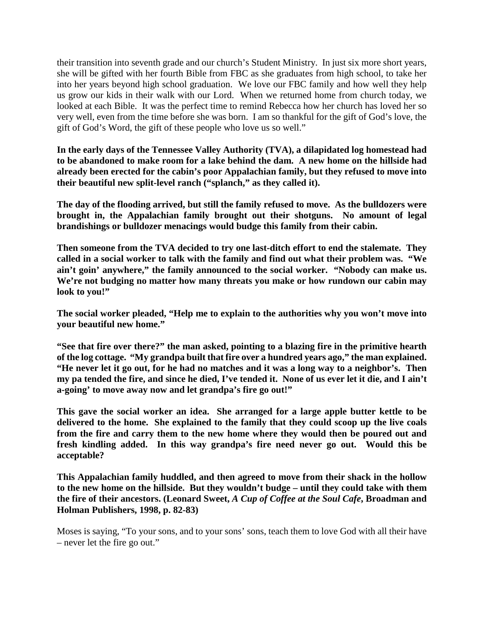their transition into seventh grade and our church's Student Ministry. In just six more short years, she will be gifted with her fourth Bible from FBC as she graduates from high school, to take her into her years beyond high school graduation. We love our FBC family and how well they help us grow our kids in their walk with our Lord. When we returned home from church today, we looked at each Bible. It was the perfect time to remind Rebecca how her church has loved her so very well, even from the time before she was born. I am so thankful for the gift of God's love, the gift of God's Word, the gift of these people who love us so well."

**In the early days of the Tennessee Valley Authority (TVA), a dilapidated log homestead had to be abandoned to make room for a lake behind the dam. A new home on the hillside had already been erected for the cabin's poor Appalachian family, but they refused to move into their beautiful new split-level ranch ("splanch," as they called it).**

**The day of the flooding arrived, but still the family refused to move. As the bulldozers were brought in, the Appalachian family brought out their shotguns. No amount of legal brandishings or bulldozer menacings would budge this family from their cabin.**

**Then someone from the TVA decided to try one last-ditch effort to end the stalemate. They called in a social worker to talk with the family and find out what their problem was. "We ain't goin' anywhere," the family announced to the social worker. "Nobody can make us. We're not budging no matter how many threats you make or how rundown our cabin may look to you!"**

**The social worker pleaded, "Help me to explain to the authorities why you won't move into your beautiful new home."**

**"See that fire over there?" the man asked, pointing to a blazing fire in the primitive hearth of the log cottage. "My grandpa built that fire over a hundred years ago," the man explained. "He never let it go out, for he had no matches and it was a long way to a neighbor's. Then my pa tended the fire, and since he died, I've tended it. None of us ever let it die, and I ain't a-going' to move away now and let grandpa's fire go out!"**

**This gave the social worker an idea. She arranged for a large apple butter kettle to be delivered to the home. She explained to the family that they could scoop up the live coals from the fire and carry them to the new home where they would then be poured out and fresh kindling added. In this way grandpa's fire need never go out. Would this be acceptable?**

**This Appalachian family huddled, and then agreed to move from their shack in the hollow to the new home on the hillside. But they wouldn't budge – until they could take with them the fire of their ancestors. (Leonard Sweet,** *A Cup of Coffee at the Soul Cafe***, Broadman and Holman Publishers, 1998, p. 82-83)**

Moses is saying, "To your sons, and to your sons' sons, teach them to love God with all their have – never let the fire go out."